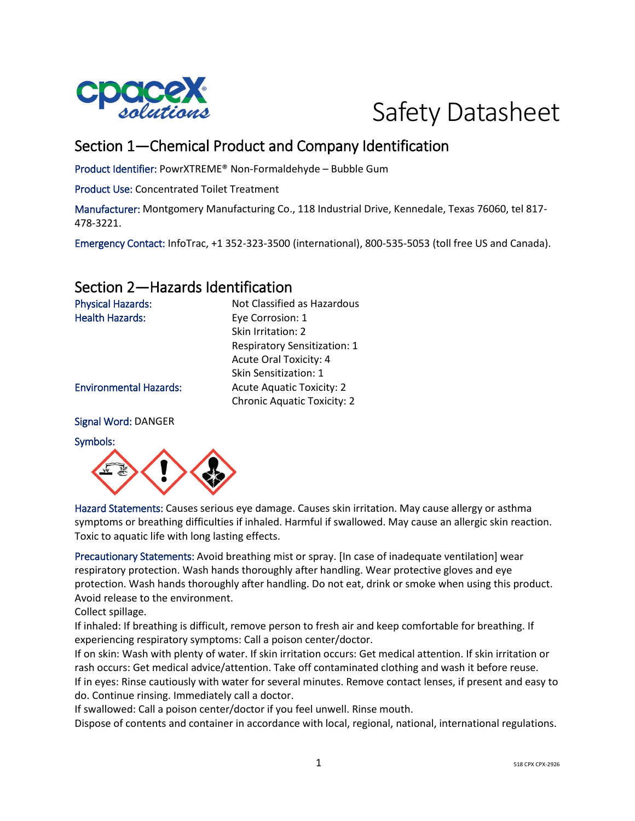



# Section 1—Chemical Product and Company Identification

Product Identifier: PowrXTREME® Non-Formaldehyde – Bubble Gum

Product Use: Concentrated Toilet Treatment

Manufacturer: Montgomery Manufacturing Co., 118 Industrial Drive, Kennedale, Texas 76060, tel 817- 478-3221.

Emergency Contact: InfoTrac, +1 352-323-3500 (international), 800-535-5053 (toll free US and Canada).

# Section 2—Hazards Identification

| <b>Physical Hazards:</b>      | Not Classified as Hazardous         |
|-------------------------------|-------------------------------------|
| <b>Health Hazards:</b>        | Eye Corrosion: 1                    |
|                               | Skin Irritation: 2                  |
|                               | <b>Respiratory Sensitization: 1</b> |
|                               | <b>Acute Oral Toxicity: 4</b>       |
|                               | Skin Sensitization: 1               |
| <b>Environmental Hazards:</b> | <b>Acute Aquatic Toxicity: 2</b>    |
|                               | <b>Chronic Aquatic Toxicity: 2</b>  |
|                               |                                     |

#### Signal Word: DANGER

#### Symbols:



Hazard Statements: Causes serious eye damage. Causes skin irritation. May cause allergy or asthma symptoms or breathing difficulties if inhaled. Harmful if swallowed. May cause an allergic skin reaction. Toxic to aquatic life with long lasting effects.

Precautionary Statements: Avoid breathing mist or spray. [In case of inadequate ventilation] wear respiratory protection. Wash hands thoroughly after handling. Wear protective gloves and eye protection. Wash hands thoroughly after handling. Do not eat, drink or smoke when using this product. Avoid release to the environment.

Collect spillage.

If inhaled: If breathing is difficult, remove person to fresh air and keep comfortable for breathing. If experiencing respiratory symptoms: Call a poison center/doctor.

If on skin: Wash with plenty of water. If skin irritation occurs: Get medical attention. If skin irritation or rash occurs: Get medical advice/attention. Take off contaminated clothing and wash it before reuse. If in eyes: Rinse cautiously with water for several minutes. Remove contact lenses, if present and easy to do. Continue rinsing. Immediately call a doctor.

If swallowed: Call a poison center/doctor if you feel unwell. Rinse mouth.

Dispose of contents and container in accordance with local, regional, national, international regulations.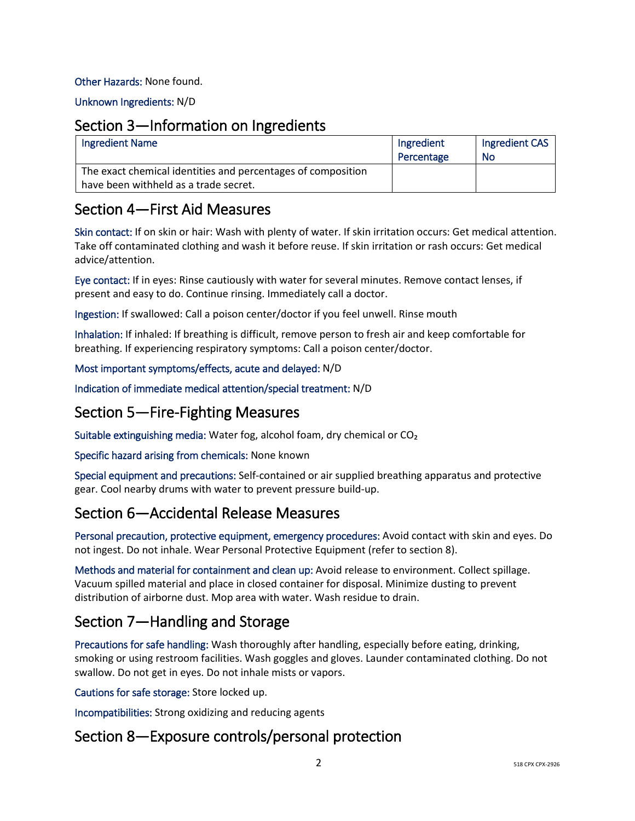#### Other Hazards: None found.

Unknown Ingredients: N/D

### Section 3—Information on Ingredients

| <b>Ingredient Name</b>                                                                                | Ingredient<br>Percentage | Ingredient CAS<br><b>No</b> |
|-------------------------------------------------------------------------------------------------------|--------------------------|-----------------------------|
| The exact chemical identities and percentages of composition<br>have been withheld as a trade secret. |                          |                             |

### Section 4—First Aid Measures

Skin contact: If on skin or hair: Wash with plenty of water. If skin irritation occurs: Get medical attention. Take off contaminated clothing and wash it before reuse. If skin irritation or rash occurs: Get medical advice/attention.

Eye contact: If in eyes: Rinse cautiously with water for several minutes. Remove contact lenses, if present and easy to do. Continue rinsing. Immediately call a doctor.

Ingestion: If swallowed: Call a poison center/doctor if you feel unwell. Rinse mouth

Inhalation: If inhaled: If breathing is difficult, remove person to fresh air and keep comfortable for breathing. If experiencing respiratory symptoms: Call a poison center/doctor.

### Most important symptoms/effects, acute and delayed: N/D

Indication of immediate medical attention/special treatment: N/D

# Section 5—Fire-Fighting Measures

Suitable extinguishing media: Water fog, alcohol foam, dry chemical or CO₂

Specific hazard arising from chemicals: None known

Special equipment and precautions: Self-contained or air supplied breathing apparatus and protective gear. Cool nearby drums with water to prevent pressure build-up.

# Section 6—Accidental Release Measures

Personal precaution, protective equipment, emergency procedures: Avoid contact with skin and eyes. Do not ingest. Do not inhale. Wear Personal Protective Equipment (refer to section 8).

Methods and material for containment and clean up: Avoid release to environment. Collect spillage. Vacuum spilled material and place in closed container for disposal. Minimize dusting to prevent distribution of airborne dust. Mop area with water. Wash residue to drain.

# Section 7—Handling and Storage

Precautions for safe handling: Wash thoroughly after handling, especially before eating, drinking, smoking or using restroom facilities. Wash goggles and gloves. Launder contaminated clothing. Do not swallow. Do not get in eyes. Do not inhale mists or vapors.

Cautions for safe storage: Store locked up.

Incompatibilities: Strong oxidizing and reducing agents

# Section 8—Exposure controls/personal protection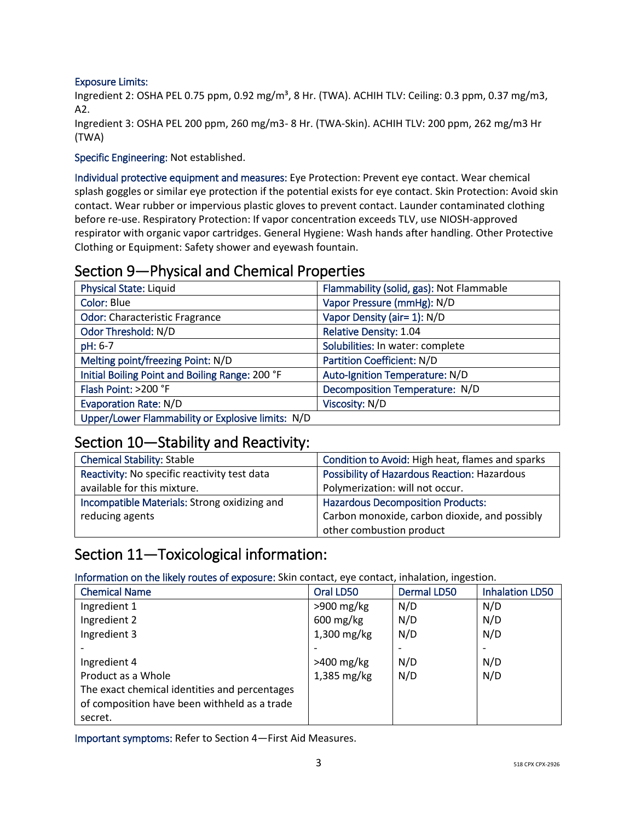#### Exposure Limits:

Ingredient 2: OSHA PEL 0.75 ppm, 0.92 mg/m<sup>3</sup>, 8 Hr. (TWA). ACHIH TLV: Ceiling: 0.3 ppm, 0.37 mg/m3, A2.

Ingredient 3: OSHA PEL 200 ppm, 260 mg/m3- 8 Hr. (TWA-Skin). ACHIH TLV: 200 ppm, 262 mg/m3 Hr (TWA)

Specific Engineering: Not established.

Individual protective equipment and measures: Eye Protection: Prevent eye contact. Wear chemical splash goggles or similar eye protection if the potential exists for eye contact. Skin Protection: Avoid skin contact. Wear rubber or impervious plastic gloves to prevent contact. Launder contaminated clothing before re-use. Respiratory Protection: If vapor concentration exceeds TLV, use NIOSH-approved respirator with organic vapor cartridges. General Hygiene: Wash hands after handling. Other Protective Clothing or Equipment: Safety shower and eyewash fountain.

### Section 9—Physical and Chemical Properties

| <b>Physical State: Liquid</b>                     | Flammability (solid, gas): Not Flammable |
|---------------------------------------------------|------------------------------------------|
| Color: Blue                                       | Vapor Pressure (mmHg): N/D               |
| <b>Odor: Characteristic Fragrance</b>             | Vapor Density (air= 1): N/D              |
| Odor Threshold: N/D                               | <b>Relative Density: 1.04</b>            |
| pH: 6-7                                           | Solubilities: In water: complete         |
| Melting point/freezing Point: N/D                 | <b>Partition Coefficient: N/D</b>        |
| Initial Boiling Point and Boiling Range: 200 °F   | Auto-Ignition Temperature: N/D           |
| Flash Point: >200 °F                              | Decomposition Temperature: N/D           |
| <b>Evaporation Rate: N/D</b>                      | Viscosity: N/D                           |
| Upper/Lower Flammability or Explosive limits: N/D |                                          |

### Section 10—Stability and Reactivity:

| <b>Chemical Stability: Stable</b>            | Condition to Avoid: High heat, flames and sparks    |
|----------------------------------------------|-----------------------------------------------------|
| Reactivity: No specific reactivity test data | <b>Possibility of Hazardous Reaction: Hazardous</b> |
| available for this mixture.                  | Polymerization: will not occur.                     |
| Incompatible Materials: Strong oxidizing and | <b>Hazardous Decomposition Products:</b>            |
| reducing agents                              | Carbon monoxide, carbon dioxide, and possibly       |
|                                              | other combustion product                            |

# Section 11—Toxicological information:

Information on the likely routes of exposure: Skin contact, eye contact, inhalation, ingestion.

| <b>Chemical Name</b>                          | Oral LD50              | <b>Dermal LD50</b> | <b>Inhalation LD50</b> |
|-----------------------------------------------|------------------------|--------------------|------------------------|
| Ingredient 1                                  | $>900$ mg/kg           | N/D                | N/D                    |
| Ingredient 2                                  | $600 \,\mathrm{mg/kg}$ | N/D                | N/D                    |
| Ingredient 3                                  | 1,300 mg/kg            | N/D                | N/D                    |
|                                               |                        |                    |                        |
| Ingredient 4                                  | $>400$ mg/kg           | N/D                | N/D                    |
| Product as a Whole                            | 1,385 mg/kg            | N/D                | N/D                    |
| The exact chemical identities and percentages |                        |                    |                        |
| of composition have been withheld as a trade  |                        |                    |                        |
| secret.                                       |                        |                    |                        |

Important symptoms: Refer to Section 4—First Aid Measures.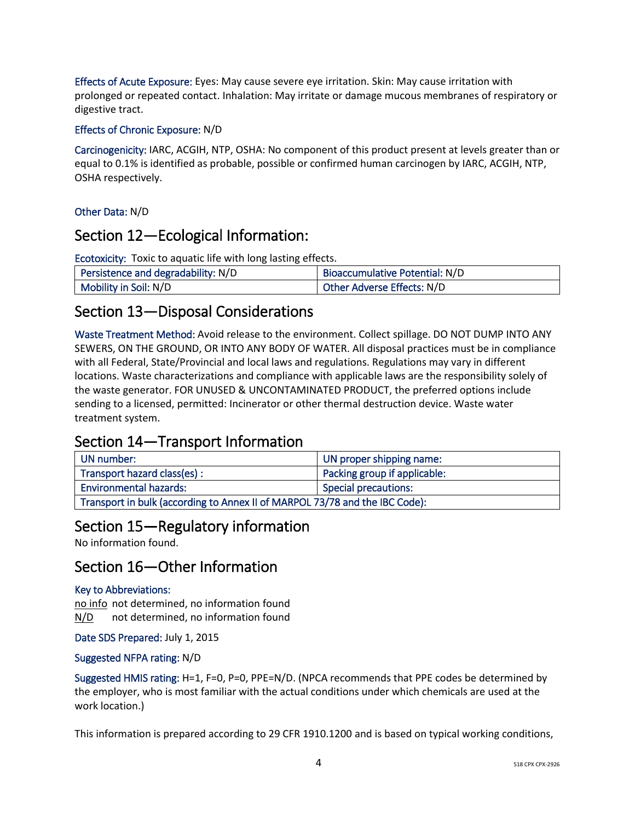Effects of Acute Exposure: Eyes: May cause severe eye irritation. Skin: May cause irritation with prolonged or repeated contact. Inhalation: May irritate or damage mucous membranes of respiratory or digestive tract.

#### Effects of Chronic Exposure: N/D

Carcinogenicity: IARC, ACGIH, NTP, OSHA: No component of this product present at levels greater than or equal to 0.1% is identified as probable, possible or confirmed human carcinogen by IARC, ACGIH, NTP, OSHA respectively.

### Other Data: N/D

### Section 12—Ecological Information:

Ecotoxicity: Toxic to aquatic life with long lasting effects.

| Persistence and degradability: N/D | Bioaccumulative Potential: N/D |
|------------------------------------|--------------------------------|
| Mobility in Soil: N/D              | Other Adverse Effects: N/D     |

### Section 13—Disposal Considerations

Waste Treatment Method: Avoid release to the environment. Collect spillage. DO NOT DUMP INTO ANY SEWERS, ON THE GROUND, OR INTO ANY BODY OF WATER. All disposal practices must be in compliance with all Federal, State/Provincial and local laws and regulations. Regulations may vary in different locations. Waste characterizations and compliance with applicable laws are the responsibility solely of the waste generator. FOR UNUSED & UNCONTAMINATED PRODUCT, the preferred options include sending to a licensed, permitted: Incinerator or other thermal destruction device. Waste water treatment system.

# Section 14—Transport Information

| UN number:                                                                  | UN proper shipping name:     |
|-----------------------------------------------------------------------------|------------------------------|
| Transport hazard class(es):                                                 | Packing group if applicable: |
| <b>Environmental hazards:</b>                                               | Special precautions:         |
| Transport in bulk (according to Annex II of MARPOL 73/78 and the IBC Code): |                              |

# Section 15—Regulatory information

No information found.

# Section 16—Other Information

### Key to Abbreviations:

no info not determined, no information found N/D not determined, no information found

Date SDS Prepared: July 1, 2015

### Suggested NFPA rating: N/D

Suggested HMIS rating: H=1, F=0, P=0, PPE=N/D. (NPCA recommends that PPE codes be determined by the employer, who is most familiar with the actual conditions under which chemicals are used at the work location.)

This information is prepared according to 29 CFR 1910.1200 and is based on typical working conditions,